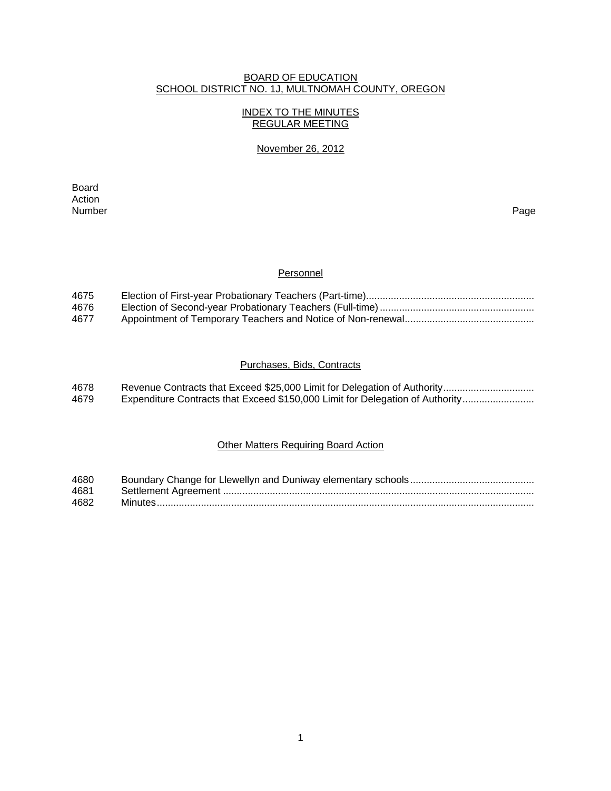#### BOARD OF EDUCATION SCHOOL DISTRICT NO. 1J, MULTNOMAH COUNTY, OREGON

# INDEX TO THE MINUTES REGULAR MEETING

#### November 26, 2012

extending the control of the control of the control of the control of the control of the control of the control of the control of the control of the control of the control of the control of the control of the control of th Action<br>Number Number Page

#### **Personnel**

| 4675 |  |
|------|--|
| 4676 |  |
| 4677 |  |

# Purchases, Bids, Contracts

| 4678 |                                                                               |
|------|-------------------------------------------------------------------------------|
| 4679 | Expenditure Contracts that Exceed \$150,000 Limit for Delegation of Authority |

# Other Matters Requiring Board Action

| 4680 |  |
|------|--|
| 4681 |  |
| 4682 |  |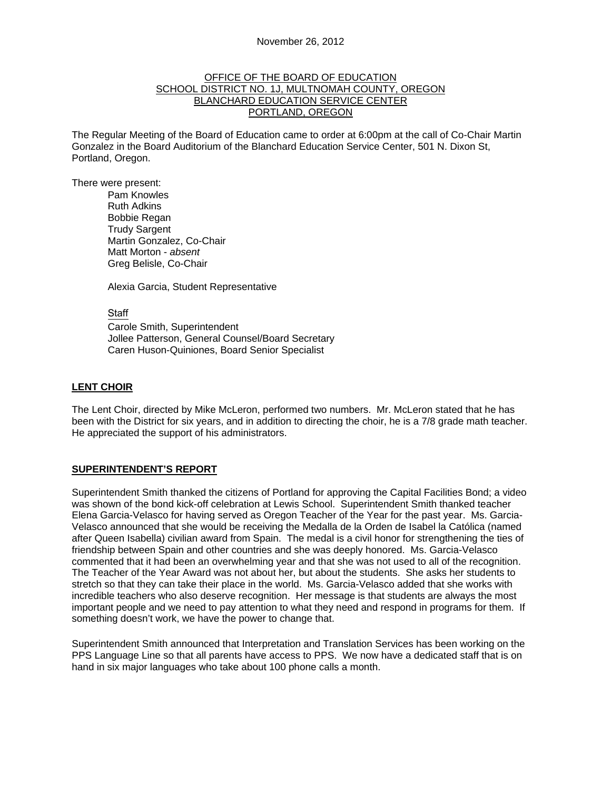#### OFFICE OF THE BOARD OF EDUCATION SCHOOL DISTRICT NO. 1J, MULTNOMAH COUNTY, OREGON BLANCHARD EDUCATION SERVICE CENTER PORTLAND, OREGON

The Regular Meeting of the Board of Education came to order at 6:00pm at the call of Co-Chair Martin Gonzalez in the Board Auditorium of the Blanchard Education Service Center, 501 N. Dixon St, Portland, Oregon.

There were present: Pam Knowles

Ruth Adkins Bobbie Regan Trudy Sargent Martin Gonzalez, Co-Chair Matt Morton - *absent*  Greg Belisle, Co-Chair

Alexia Garcia, Student Representative

#### Staff

 Carole Smith, Superintendent Jollee Patterson, General Counsel/Board Secretary Caren Huson-Quiniones, Board Senior Specialist

# **LENT CHOIR**

The Lent Choir, directed by Mike McLeron, performed two numbers. Mr. McLeron stated that he has been with the District for six years, and in addition to directing the choir, he is a 7/8 grade math teacher. He appreciated the support of his administrators.

# **SUPERINTENDENT'S REPORT**

Superintendent Smith thanked the citizens of Portland for approving the Capital Facilities Bond; a video was shown of the bond kick-off celebration at Lewis School. Superintendent Smith thanked teacher Elena Garcia-Velasco for having served as Oregon Teacher of the Year for the past year. Ms. Garcia-Velasco announced that she would be receiving the Medalla de la Orden de Isabel la Católica (named after Queen Isabella) civilian award from Spain. The medal is a civil honor for strengthening the ties of friendship between Spain and other countries and she was deeply honored. Ms. Garcia-Velasco commented that it had been an overwhelming year and that she was not used to all of the recognition. The Teacher of the Year Award was not about her, but about the students. She asks her students to stretch so that they can take their place in the world. Ms. Garcia-Velasco added that she works with incredible teachers who also deserve recognition. Her message is that students are always the most important people and we need to pay attention to what they need and respond in programs for them. If something doesn't work, we have the power to change that.

Superintendent Smith announced that Interpretation and Translation Services has been working on the PPS Language Line so that all parents have access to PPS. We now have a dedicated staff that is on hand in six major languages who take about 100 phone calls a month.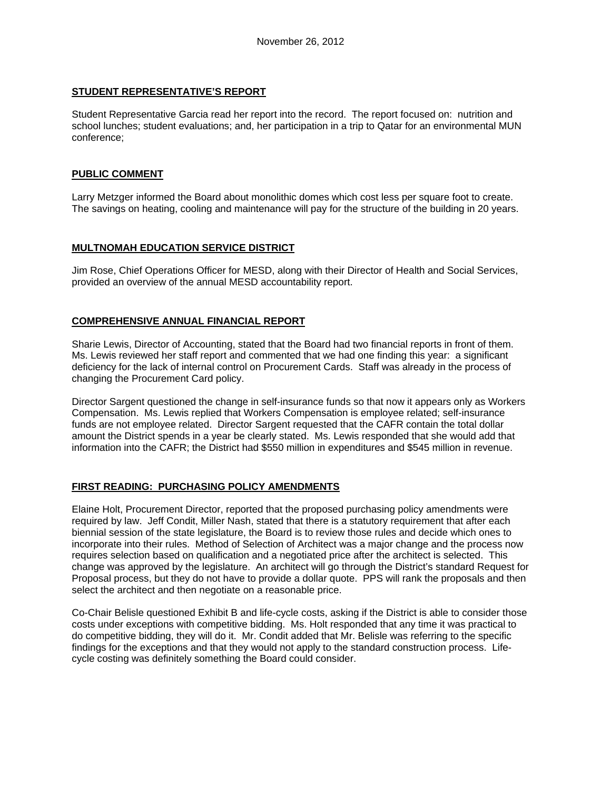#### **STUDENT REPRESENTATIVE'S REPORT**

Student Representative Garcia read her report into the record. The report focused on: nutrition and school lunches; student evaluations; and, her participation in a trip to Qatar for an environmental MUN conference;

#### **PUBLIC COMMENT**

Larry Metzger informed the Board about monolithic domes which cost less per square foot to create. The savings on heating, cooling and maintenance will pay for the structure of the building in 20 years.

#### **MULTNOMAH EDUCATION SERVICE DISTRICT**

Jim Rose, Chief Operations Officer for MESD, along with their Director of Health and Social Services, provided an overview of the annual MESD accountability report.

# **COMPREHENSIVE ANNUAL FINANCIAL REPORT**

Sharie Lewis, Director of Accounting, stated that the Board had two financial reports in front of them. Ms. Lewis reviewed her staff report and commented that we had one finding this year: a significant deficiency for the lack of internal control on Procurement Cards. Staff was already in the process of changing the Procurement Card policy.

Director Sargent questioned the change in self-insurance funds so that now it appears only as Workers Compensation. Ms. Lewis replied that Workers Compensation is employee related; self-insurance funds are not employee related. Director Sargent requested that the CAFR contain the total dollar amount the District spends in a year be clearly stated. Ms. Lewis responded that she would add that information into the CAFR; the District had \$550 million in expenditures and \$545 million in revenue.

# **FIRST READING: PURCHASING POLICY AMENDMENTS**

Elaine Holt, Procurement Director, reported that the proposed purchasing policy amendments were required by law. Jeff Condit, Miller Nash, stated that there is a statutory requirement that after each biennial session of the state legislature, the Board is to review those rules and decide which ones to incorporate into their rules. Method of Selection of Architect was a major change and the process now requires selection based on qualification and a negotiated price after the architect is selected. This change was approved by the legislature. An architect will go through the District's standard Request for Proposal process, but they do not have to provide a dollar quote. PPS will rank the proposals and then select the architect and then negotiate on a reasonable price.

Co-Chair Belisle questioned Exhibit B and life-cycle costs, asking if the District is able to consider those costs under exceptions with competitive bidding. Ms. Holt responded that any time it was practical to do competitive bidding, they will do it. Mr. Condit added that Mr. Belisle was referring to the specific findings for the exceptions and that they would not apply to the standard construction process. Lifecycle costing was definitely something the Board could consider.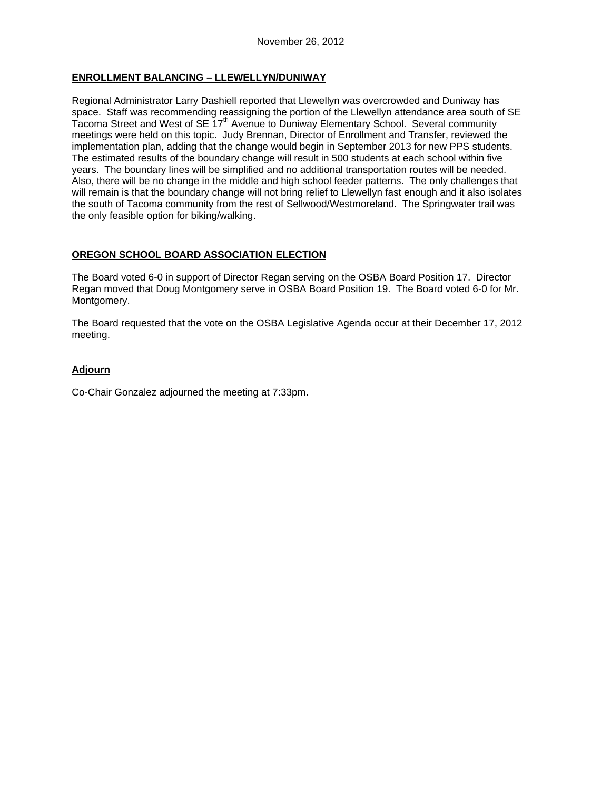# **ENROLLMENT BALANCING – LLEWELLYN/DUNIWAY**

Regional Administrator Larry Dashiell reported that Llewellyn was overcrowded and Duniway has space. Staff was recommending reassigning the portion of the Llewellyn attendance area south of SE Tacoma Street and West of SE 17<sup>th</sup> Avenue to Duniway Elementary School. Several community meetings were held on this topic. Judy Brennan, Director of Enrollment and Transfer, reviewed the implementation plan, adding that the change would begin in September 2013 for new PPS students. The estimated results of the boundary change will result in 500 students at each school within five years. The boundary lines will be simplified and no additional transportation routes will be needed. Also, there will be no change in the middle and high school feeder patterns. The only challenges that will remain is that the boundary change will not bring relief to Llewellyn fast enough and it also isolates the south of Tacoma community from the rest of Sellwood/Westmoreland. The Springwater trail was the only feasible option for biking/walking.

# **OREGON SCHOOL BOARD ASSOCIATION ELECTION**

The Board voted 6-0 in support of Director Regan serving on the OSBA Board Position 17. Director Regan moved that Doug Montgomery serve in OSBA Board Position 19. The Board voted 6-0 for Mr. Montgomery.

The Board requested that the vote on the OSBA Legislative Agenda occur at their December 17, 2012 meeting.

# **Adjourn**

Co-Chair Gonzalez adjourned the meeting at 7:33pm.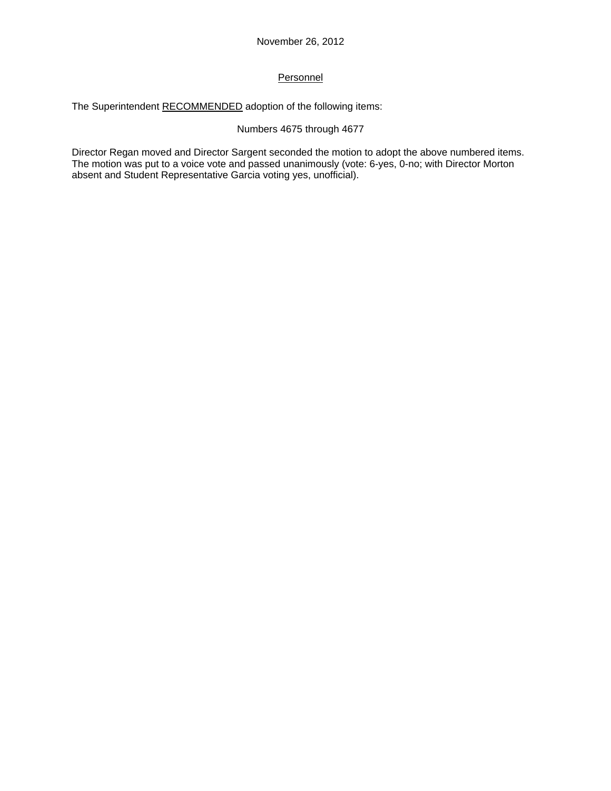# Personnel

The Superintendent RECOMMENDED adoption of the following items:

# Numbers 4675 through 4677

Director Regan moved and Director Sargent seconded the motion to adopt the above numbered items. The motion was put to a voice vote and passed unanimously (vote: 6-yes, 0-no; with Director Morton absent and Student Representative Garcia voting yes, unofficial).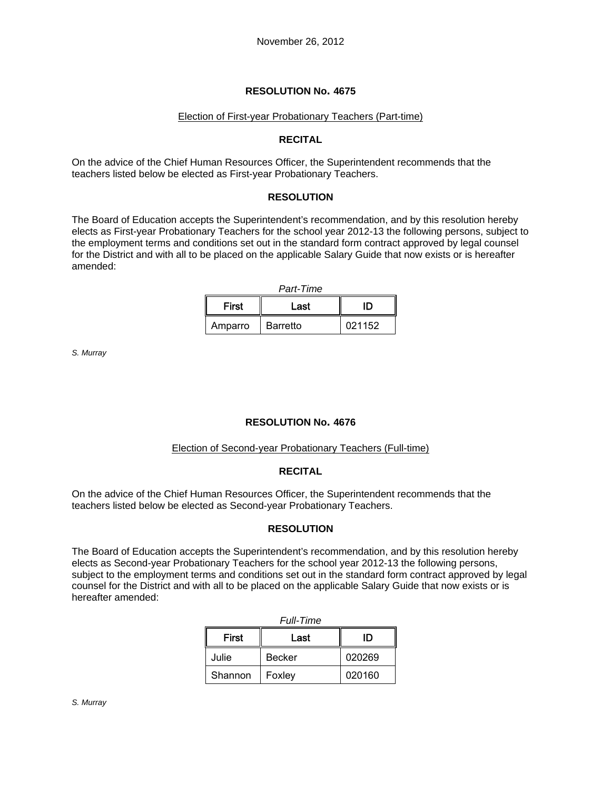#### Election of First-year Probationary Teachers (Part-time)

#### **RECITAL**

On the advice of the Chief Human Resources Officer, the Superintendent recommends that the teachers listed below be elected as First-year Probationary Teachers.

#### **RESOLUTION**

The Board of Education accepts the Superintendent's recommendation, and by this resolution hereby elects as First-year Probationary Teachers for the school year 2012-13 the following persons, subject to the employment terms and conditions set out in the standard form contract approved by legal counsel for the District and with all to be placed on the applicable Salary Guide that now exists or is hereafter amended:

| <b>First</b> | Last     | ID     |  |
|--------------|----------|--------|--|
| Amparro      | Barretto | 021152 |  |

*S. Murray*

#### **RESOLUTION No. 4676**

#### Election of Second-year Probationary Teachers (Full-time)

#### **RECITAL**

On the advice of the Chief Human Resources Officer, the Superintendent recommends that the teachers listed below be elected as Second-year Probationary Teachers.

# **RESOLUTION**

The Board of Education accepts the Superintendent's recommendation, and by this resolution hereby elects as Second-year Probationary Teachers for the school year 2012-13 the following persons, subject to the employment terms and conditions set out in the standard form contract approved by legal counsel for the District and with all to be placed on the applicable Salary Guide that now exists or is hereafter amended:

| <i>ruii-Time</i> |               |        |  |  |  |  |
|------------------|---------------|--------|--|--|--|--|
| First            | Last          | ID     |  |  |  |  |
| Julie            | <b>Becker</b> | 020269 |  |  |  |  |
| Shannon          | Foxley        | 020160 |  |  |  |  |

| <i><b>Full-Time</b></i> |  |
|-------------------------|--|
|                         |  |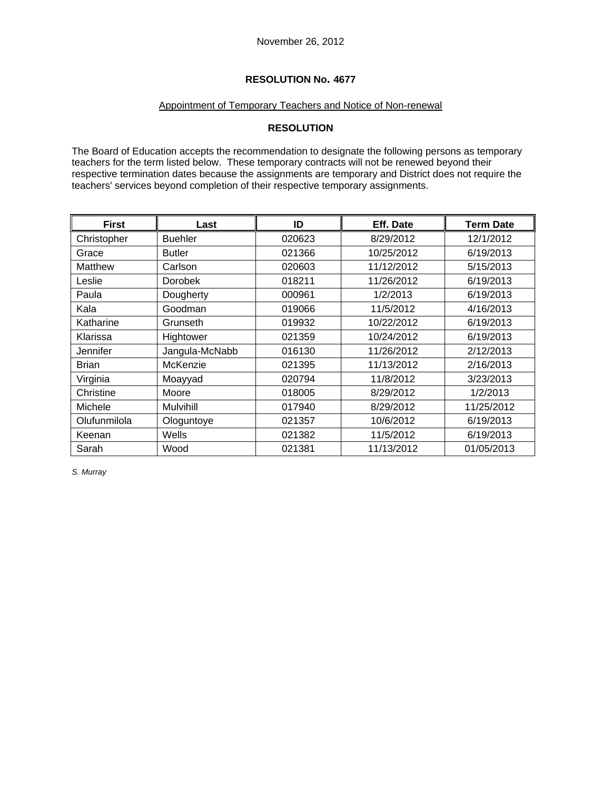# Appointment of Temporary Teachers and Notice of Non-renewal

# **RESOLUTION**

The Board of Education accepts the recommendation to designate the following persons as temporary teachers for the term listed below. These temporary contracts will not be renewed beyond their respective termination dates because the assignments are temporary and District does not require the teachers' services beyond completion of their respective temporary assignments.

| <b>First</b> | Last           | ID     | Eff. Date  | <b>Term Date</b> |
|--------------|----------------|--------|------------|------------------|
| Christopher  | <b>Buehler</b> | 020623 | 8/29/2012  | 12/1/2012        |
| Grace        | <b>Butler</b>  | 021366 | 10/25/2012 | 6/19/2013        |
| Matthew      | Carlson        | 020603 | 11/12/2012 | 5/15/2013        |
| Leslie       | Dorobek        | 018211 | 11/26/2012 | 6/19/2013        |
| Paula        | Dougherty      | 000961 | 1/2/2013   | 6/19/2013        |
| Kala         | Goodman        | 019066 | 11/5/2012  | 4/16/2013        |
| Katharine    | Grunseth       | 019932 | 10/22/2012 | 6/19/2013        |
| Klarissa     | Hightower      | 021359 | 10/24/2012 | 6/19/2013        |
| Jennifer     | Jangula-McNabb | 016130 | 11/26/2012 | 2/12/2013        |
| <b>Brian</b> | McKenzie       | 021395 | 11/13/2012 | 2/16/2013        |
| Virginia     | Moayyad        | 020794 | 11/8/2012  | 3/23/2013        |
| Christine    | Moore          | 018005 | 8/29/2012  | 1/2/2013         |
| Michele      | Mulvihill      | 017940 | 8/29/2012  | 11/25/2012       |
| Olufunmilola | Ologuntoye     | 021357 | 10/6/2012  | 6/19/2013        |
| Keenan       | Wells          | 021382 | 11/5/2012  | 6/19/2013        |
| Sarah        | Wood           | 021381 | 11/13/2012 | 01/05/2013       |

*S. Murray*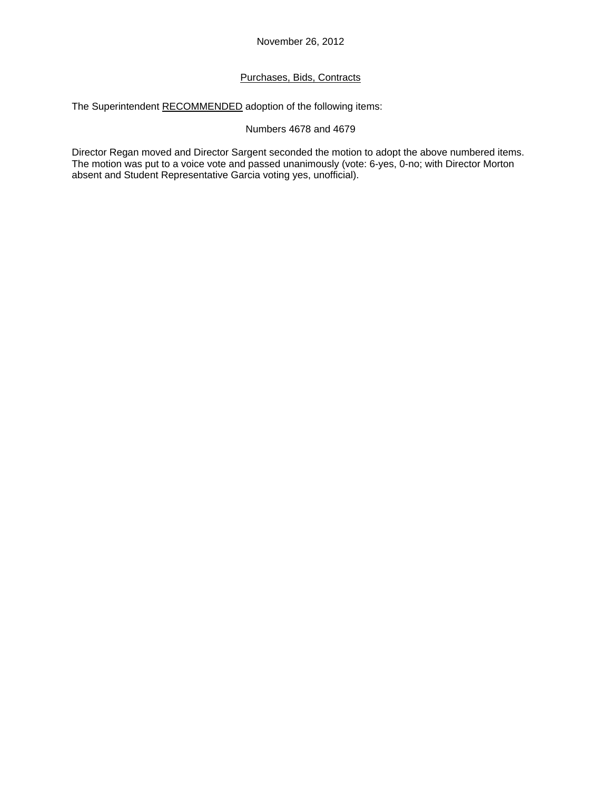# Purchases, Bids, Contracts

The Superintendent RECOMMENDED adoption of the following items:

# Numbers 4678 and 4679

Director Regan moved and Director Sargent seconded the motion to adopt the above numbered items. The motion was put to a voice vote and passed unanimously (vote: 6-yes, 0-no; with Director Morton absent and Student Representative Garcia voting yes, unofficial).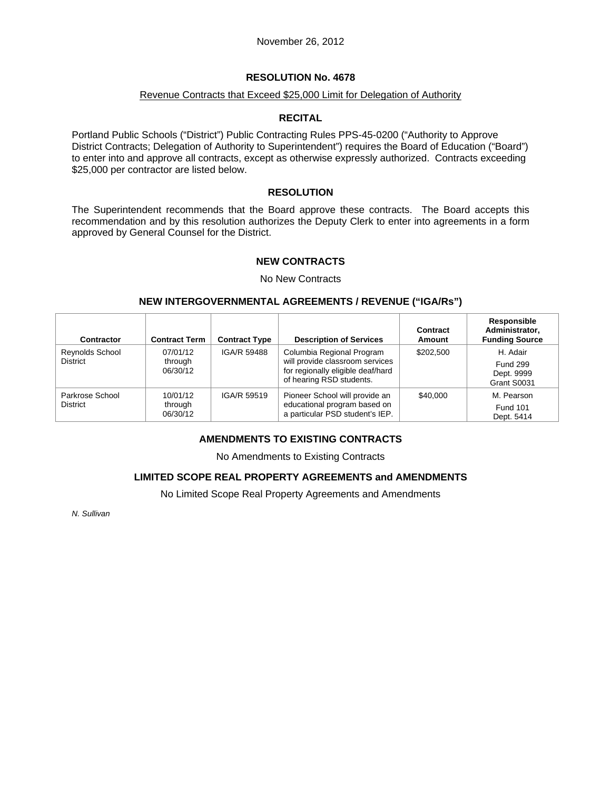#### Revenue Contracts that Exceed \$25,000 Limit for Delegation of Authority

# **RECITAL**

Portland Public Schools ("District") Public Contracting Rules PPS-45-0200 ("Authority to Approve District Contracts; Delegation of Authority to Superintendent") requires the Board of Education ("Board") to enter into and approve all contracts, except as otherwise expressly authorized. Contracts exceeding \$25,000 per contractor are listed below.

### **RESOLUTION**

The Superintendent recommends that the Board approve these contracts. The Board accepts this recommendation and by this resolution authorizes the Deputy Clerk to enter into agreements in a form approved by General Counsel for the District.

# **NEW CONTRACTS**

#### No New Contracts

#### **NEW INTERGOVERNMENTAL AGREEMENTS / REVENUE ("IGA/Rs")**

| Contractor                         | <b>Contract Term</b>            | <b>Contract Type</b> | <b>Description of Services</b>                                                                                                | Contract<br>Amount | Responsible<br>Administrator,<br><b>Funding Source</b>   |
|------------------------------------|---------------------------------|----------------------|-------------------------------------------------------------------------------------------------------------------------------|--------------------|----------------------------------------------------------|
| Reynolds School<br><b>District</b> | 07/01/12<br>through<br>06/30/12 | <b>IGA/R 59488</b>   | Columbia Regional Program<br>will provide classroom services<br>for regionally eligible deaf/hard<br>of hearing RSD students. | \$202,500          | H. Adair<br><b>Fund 299</b><br>Dept. 9999<br>Grant S0031 |
| Parkrose School<br><b>District</b> | 10/01/12<br>through<br>06/30/12 | IGA/R 59519          | Pioneer School will provide an<br>educational program based on<br>a particular PSD student's IEP.                             | \$40,000           | M. Pearson<br><b>Fund 101</b><br>Dept. 5414              |

# **AMENDMENTS TO EXISTING CONTRACTS**

No Amendments to Existing Contracts

# **LIMITED SCOPE REAL PROPERTY AGREEMENTS and AMENDMENTS**

No Limited Scope Real Property Agreements and Amendments

*N. Sullivan*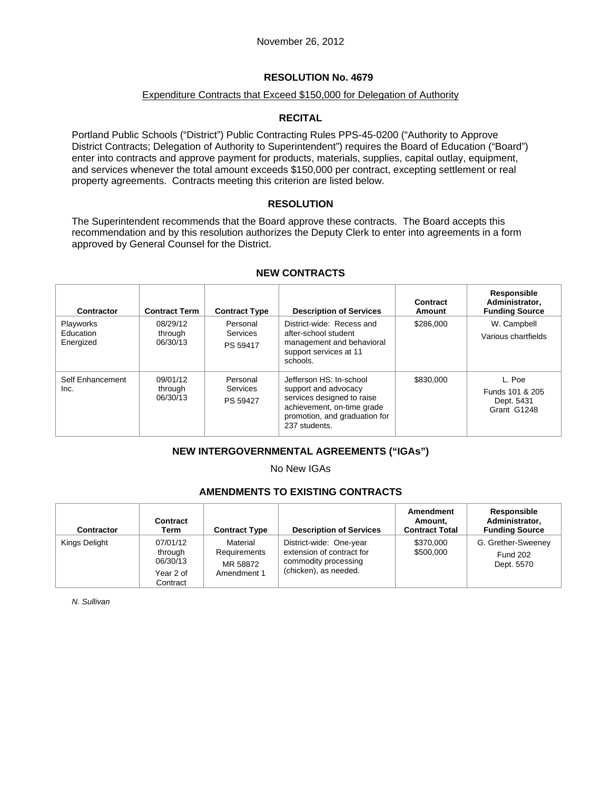### Expenditure Contracts that Exceed \$150,000 for Delegation of Authority

# **RECITAL**

Portland Public Schools ("District") Public Contracting Rules PPS-45-0200 ("Authority to Approve District Contracts; Delegation of Authority to Superintendent") requires the Board of Education ("Board") enter into contracts and approve payment for products, materials, supplies, capital outlay, equipment, and services whenever the total amount exceeds \$150,000 per contract, excepting settlement or real property agreements. Contracts meeting this criterion are listed below.

#### **RESOLUTION**

The Superintendent recommends that the Board approve these contracts. The Board accepts this recommendation and by this resolution authorizes the Deputy Clerk to enter into agreements in a form approved by General Counsel for the District.

| Contractor                                 | <b>Contract Term</b>            | <b>Contract Type</b>             | <b>Description of Services</b>                                                                                                                                | Contract<br>Amount | Responsible<br>Administrator,<br><b>Funding Source</b> |
|--------------------------------------------|---------------------------------|----------------------------------|---------------------------------------------------------------------------------------------------------------------------------------------------------------|--------------------|--------------------------------------------------------|
| <b>Playworks</b><br>Education<br>Energized | 08/29/12<br>through<br>06/30/13 | Personal<br>Services<br>PS 59417 | District-wide: Recess and<br>after-school student<br>management and behavioral<br>support services at 11<br>schools.                                          | \$286,000          | W. Campbell<br>Various chartfields                     |
| Self Enhancement<br>Inc.                   | 09/01/12<br>through<br>06/30/13 | Personal<br>Services<br>PS 59427 | Jefferson HS: In-school<br>support and advocacy<br>services designed to raise<br>achievement, on-time grade<br>promotion, and graduation for<br>237 students. | \$830,000          | L. Poe<br>Funds 101 & 205<br>Dept. 5431<br>Grant G1248 |

#### **NEW CONTRACTS**

# **NEW INTERGOVERNMENTAL AGREEMENTS ("IGAs")**

No New IGAs

# **AMENDMENTS TO EXISTING CONTRACTS**

| Contractor    | Contract<br>Term                                         | <b>Contract Type</b>                                | <b>Description of Services</b>                                                                        | Amendment<br>Amount.<br><b>Contract Total</b> | Responsible<br>Administrator,<br><b>Funding Source</b> |
|---------------|----------------------------------------------------------|-----------------------------------------------------|-------------------------------------------------------------------------------------------------------|-----------------------------------------------|--------------------------------------------------------|
| Kings Delight | 07/01/12<br>through<br>06/30/13<br>Year 2 of<br>Contract | Material<br>Requirements<br>MR 58872<br>Amendment 1 | District-wide: One-year<br>extension of contract for<br>commodity processing<br>(chicken), as needed. | \$370,000<br>\$500,000                        | G. Grether-Sweeney<br><b>Fund 202</b><br>Dept. 5570    |

*N. Sullivan*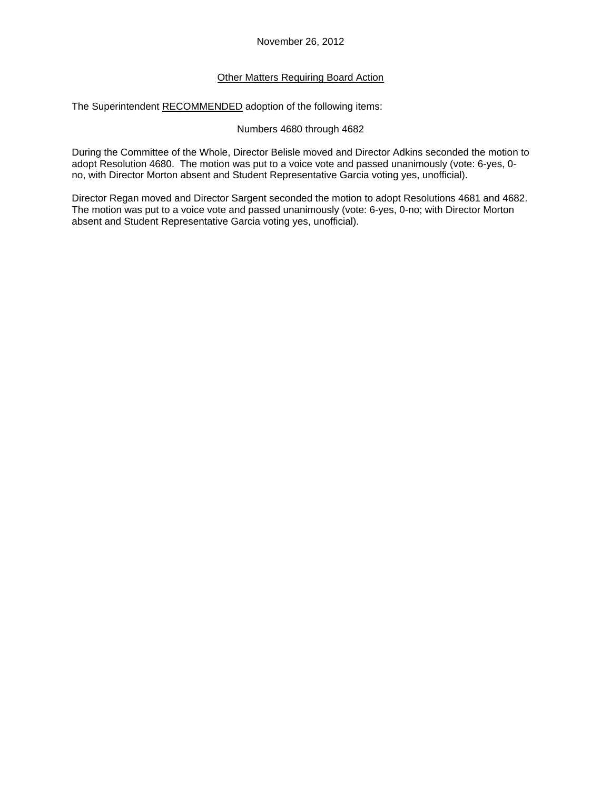# Other Matters Requiring Board Action

The Superintendent RECOMMENDED adoption of the following items:

### Numbers 4680 through 4682

During the Committee of the Whole, Director Belisle moved and Director Adkins seconded the motion to adopt Resolution 4680. The motion was put to a voice vote and passed unanimously (vote: 6-yes, 0 no, with Director Morton absent and Student Representative Garcia voting yes, unofficial).

Director Regan moved and Director Sargent seconded the motion to adopt Resolutions 4681 and 4682. The motion was put to a voice vote and passed unanimously (vote: 6-yes, 0-no; with Director Morton absent and Student Representative Garcia voting yes, unofficial).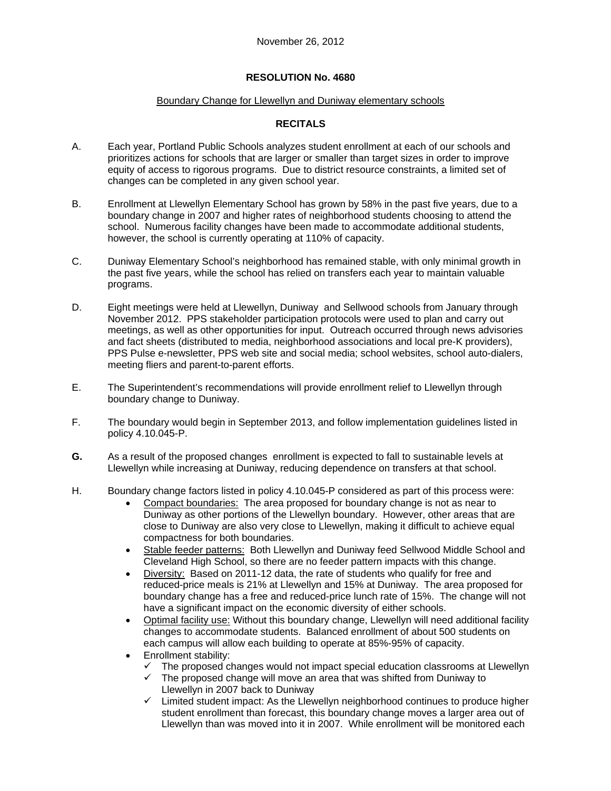#### Boundary Change for Llewellyn and Duniway elementary schools

# **RECITALS**

- A. Each year, Portland Public Schools analyzes student enrollment at each of our schools and prioritizes actions for schools that are larger or smaller than target sizes in order to improve equity of access to rigorous programs. Due to district resource constraints, a limited set of changes can be completed in any given school year.
- B. Enrollment at Llewellyn Elementary School has grown by 58% in the past five years, due to a boundary change in 2007 and higher rates of neighborhood students choosing to attend the school. Numerous facility changes have been made to accommodate additional students, however, the school is currently operating at 110% of capacity.
- C. Duniway Elementary School's neighborhood has remained stable, with only minimal growth in the past five years, while the school has relied on transfers each year to maintain valuable programs.
- D. Eight meetings were held at Llewellyn, Duniway and Sellwood schools from January through November 2012. PPS stakeholder participation protocols were used to plan and carry out meetings, as well as other opportunities for input. Outreach occurred through news advisories and fact sheets (distributed to media, neighborhood associations and local pre-K providers), PPS Pulse e-newsletter, PPS web site and social media; school websites, school auto-dialers, meeting fliers and parent-to-parent efforts.
- E. The Superintendent's recommendations will provide enrollment relief to Llewellyn through boundary change to Duniway.
- F. The boundary would begin in September 2013, and follow implementation guidelines listed in policy 4.10.045-P.
- **G.** As a result of the proposed changes enrollment is expected to fall to sustainable levels at Llewellyn while increasing at Duniway, reducing dependence on transfers at that school.
- H. Boundary change factors listed in policy 4.10.045-P considered as part of this process were:
	- Compact boundaries: The area proposed for boundary change is not as near to Duniway as other portions of the Llewellyn boundary. However, other areas that are close to Duniway are also very close to Llewellyn, making it difficult to achieve equal compactness for both boundaries.
	- Stable feeder patterns: Both Llewellyn and Duniway feed Sellwood Middle School and Cleveland High School, so there are no feeder pattern impacts with this change.
	- Diversity: Based on 2011-12 data, the rate of students who qualify for free and reduced-price meals is 21% at Llewellyn and 15% at Duniway. The area proposed for boundary change has a free and reduced-price lunch rate of 15%. The change will not have a significant impact on the economic diversity of either schools.
	- Optimal facility use: Without this boundary change, Llewellyn will need additional facility changes to accommodate students. Balanced enrollment of about 500 students on each campus will allow each building to operate at 85%-95% of capacity.
	- Enrollment stability:
		- The proposed changes would not impact special education classrooms at Llewellyn
		- $\checkmark$  The proposed change will move an area that was shifted from Duniway to Llewellyn in 2007 back to Duniway
		- $\checkmark$  Limited student impact: As the Llewellyn neighborhood continues to produce higher student enrollment than forecast, this boundary change moves a larger area out of Llewellyn than was moved into it in 2007. While enrollment will be monitored each